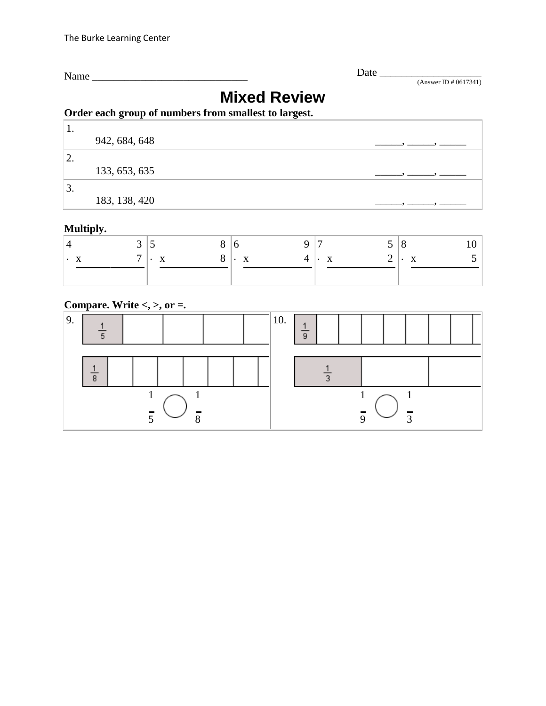Name \_\_\_\_\_\_\_\_\_\_\_\_\_\_\_\_\_\_\_\_\_\_\_\_\_\_\_\_\_ Date \_\_\_\_\_\_\_\_\_\_\_\_\_\_\_\_\_\_\_

(Answer ID # 0617341)

# **Mixed Review**

### **Order each group of numbers from smallest to largest.**

| . .     |               |  |
|---------|---------------|--|
|         | 942, 684, 648 |  |
| ာ<br>٠. |               |  |
|         | 133, 653, 635 |  |
| 3.      |               |  |
|         | 183, 138, 420 |  |

### **Multiply.**

|  | $\Omega$ | $\bullet$ | $\Delta$ |  |  |  |
|--|----------|-----------|----------|--|--|--|
|  |          |           |          |  |  |  |

### **Compare. Write <, >, or =.**

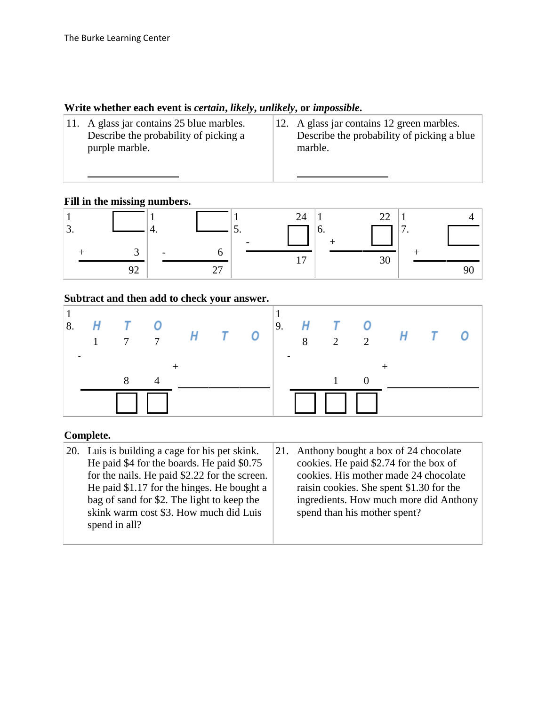### **Write whether each event is** *certain***,** *likely***,** *unlikely***, or** *impossible***.**

| 11. A glass jar contains 25 blue marbles.<br>Describe the probability of picking a<br>purple marble. | 12. A glass jar contains 12 green marbles.<br>Describe the probability of picking a blue<br>marble. |
|------------------------------------------------------------------------------------------------------|-----------------------------------------------------------------------------------------------------|
|                                                                                                      |                                                                                                     |

#### **Fill in the missing numbers.**

| J. | . . | ◡. | O. | $\overline{\phantom{0}}$<br>. . |
|----|-----|----|----|---------------------------------|
|    |     |    |    |                                 |
|    | ∼   |    | IJ |                                 |

### **Subtract and then add to check your answer.**

| H<br>8. | $T = 0$<br>$7\overline{7}$ | $H$ $T$ $O$ |  |  |  | $\begin{vmatrix} 9. & H & T & O \\ 8 & 2 & 2 & H \end{vmatrix}$ | $\overline{T}$ |  |
|---------|----------------------------|-------------|--|--|--|-----------------------------------------------------------------|----------------|--|
|         | $\Box$                     |             |  |  |  |                                                                 |                |  |

### **Complete.**

| 20. Luis is building a cage for his pet skink. | 21. Anthony bought a box of 24 chocolate |
|------------------------------------------------|------------------------------------------|
| He paid \$4 for the boards. He paid \$0.75     | cookies. He paid \$2.74 for the box of   |
| for the nails. He paid \$2.22 for the screen.  | cookies. His mother made 24 chocolate    |
| He paid \$1.17 for the hinges. He bought a     | raisin cookies. She spent \$1.30 for the |
| bag of sand for \$2. The light to keep the     | ingredients. How much more did Anthony   |
| skink warm cost \$3. How much did Luis         | spend than his mother spent?             |
| spend in all?                                  |                                          |
|                                                |                                          |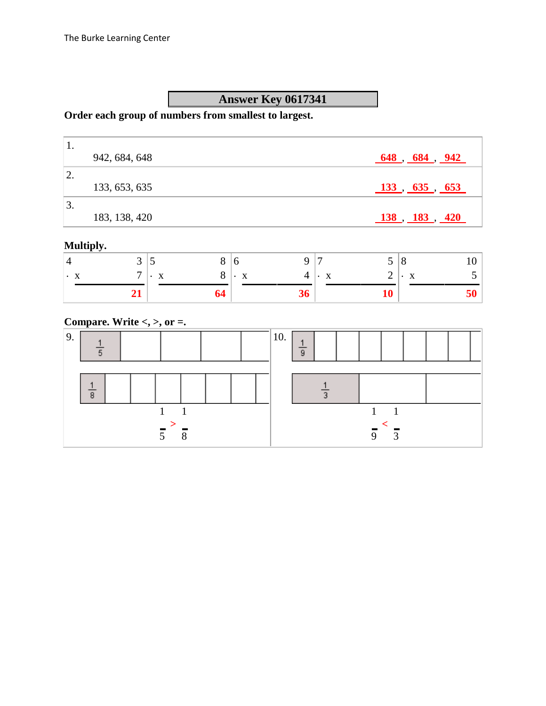# **Answer Key 0617341**

### **Order each group of numbers from smallest to largest.**

|                  | 942, 684, 648 | $648$ , $684$ , $942$                                     |
|------------------|---------------|-----------------------------------------------------------|
| 2.               |               |                                                           |
|                  | 133, 653, 635 | 133, 635, 653                                             |
| $\overline{3}$ . |               |                                                           |
|                  | 183, 138, 420 | $\underline{138}$ , $\underline{183}$ , $\underline{420}$ |

### **Multiply.**

| $\prime$ 1 | ັ | ັ              |                | J            | 8                           |
|------------|---|----------------|----------------|--------------|-----------------------------|
| $\cdot$    | – | X<br>$\cdot$ . | X<br>$\bullet$ | $\mathbf{X}$ | $\mathbf{\cdot} \mathbf{x}$ |
|            |   | O4             |                |              |                             |

### **Compare. Write <, >, or =.**

| 9. |   |  |  |  |  | 10. | 9 |  |   |   |  |  |
|----|---|--|--|--|--|-----|---|--|---|---|--|--|
|    | 8 |  |  |  |  |     |   |  |   |   |  |  |
|    |   |  |  |  |  |     |   |  | ∩ | っ |  |  |